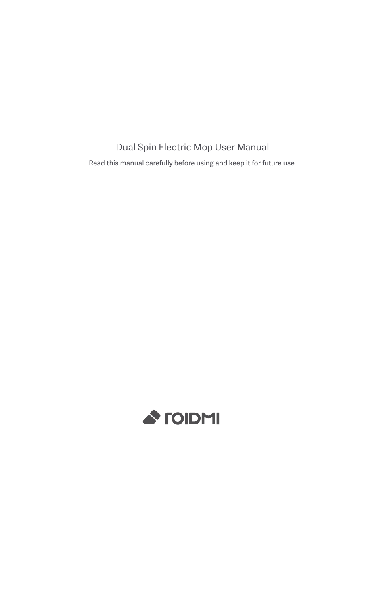## Dual Spin Electric Mop User Manual

Read this manual carefully before using and keep it for future use.

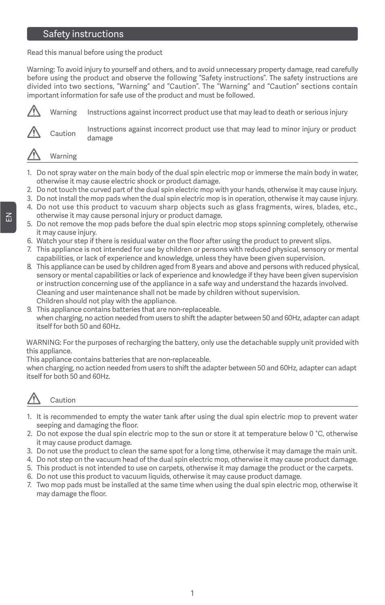## Safety instructions

Read this manual before using the product

Warning: To avoid injury to yourself and others, and to avoid unnecessary property damage, read carefully before using the product and observe the following "Safety instructions". The safety instructions are divided into two sections, "Warning" and "Caution". The "Warning" and "Caution" sections contain important information for safe use of the product and must be followed.



Warning

- 1. Do not spray water on the main body of the dual spin electric mop or immerse the main body in water, otherwise it may cause electric shock or product damage.
- 2. Do not touch the curved part of the dual spin electric mop with your hands, otherwise it may cause injury.
- 3. Do not install the mop pads when the dual spin electric mop is in operation, otherwise it may cause injury.
- 4. Do not use this product to vacuum sharp objects such as glass fragments, wires, blades, etc., otherwise it may cause personal injury or product damage.
- 5. Do not remove the mop pads before the dual spin electric mop stops spinning completely, otherwise it may cause injury.
- 6. Watch your step if there is residual water on the floor after using the product to prevent slips.
- 7. This appliance is not intended for use by children or persons with reduced physical, sensory or mental capabilities, or lack of experience and knowledge, unless they have been given supervision.
- 8. This appliance can be used by children aged from 8 years and above and persons with reduced physical, sensory or mental capabilities or lack of experience and knowledge if they have been given supervision or instruction concerning use of the appliance in a safe way and understand the hazards involved. Cleaning and user maintenance shall not be made by children without supervision. Children should not play with the appliance.
- 9. This appliance contains batteries that are non-replaceable. when charging, no action needed from users to shift the adapter between 50 and 60Hz, adapter can adapt itself for both 50 and 60Hz.

WARNING: For the purposes of recharging the battery, only use the detachable supply unit provided with this appliance.

This appliance contains batteries that are non-replaceable.

when charging, no action needed from users to shift the adapter between 50 and 60Hz, adapter can adapt itself for both 50 and 60Hz.

# Caution

- 1. It is recommended to empty the water tank after using the dual spin electric mop to prevent water seeping and damaging the floor.
- 2. Do not expose the dual spin electric mop to the sun or store it at temperature below 0 °C, otherwise it may cause product damage.
- 3. Do not use the product to clean the same spot for a long time, otherwise it may damage the main unit.
- 4. Do not step on the vacuum head of the dual spin electric mop, otherwise it may cause product damage.
- 5. This product is not intended to use on carpets, otherwise it may damage the product or the carpets.
- 6. Do not use this product to vacuum liquids, otherwise it may cause product damage.
- 7. Two mop pads must be installed at the same time when using the dual spin electric mop, otherwise it may damage the floor.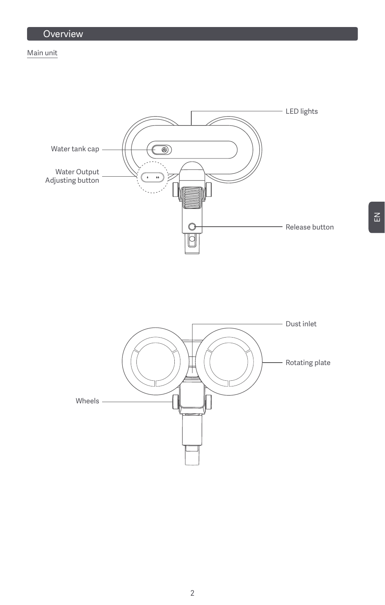### Main unit

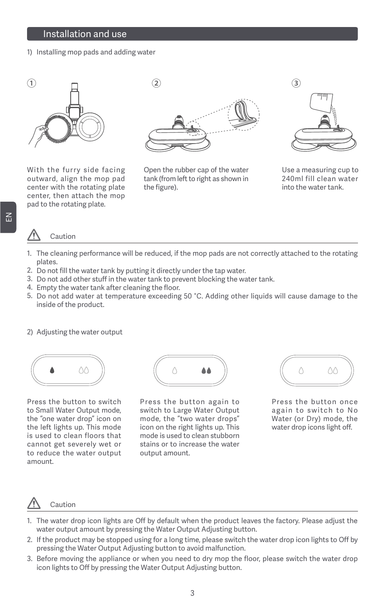### Installation and use

1) Installing mop pads and adding water



With the furry side facing outward, align the mop pad center with the rotating plate center, then attach the mop pad to the rotating plate.



Open the rubber cap of the water tank (from left to right as shown in the figure).



Use a measuring cup to 240ml fill clean water into the water tank.

#### Caution

- 1. The cleaning performance will be reduced, if the mop pads are not correctly attached to the rotating plates.
- 2. Do not fill the water tank by putting it directly under the tap water.
- 3. Do not add other stuff in the water tank to prevent blocking the water tank.
- 4. Empty the water tank after cleaning the floor.
- 5. Do not add water at temperature exceeding 50 °C. Adding other liquids will cause damage to the inside of the product.
- 2) Adjusting the water output



Press the button to switch to Small Water Output mode, the "one water drop" icon on the left lights up. This mode is used to clean floors that cannot get severely wet or to reduce the water output amount.



Press the button again to switch to Large Water Output mode, the "two water drops" icon on the right lights up. This mode is used to clean stubborn stains or to increase the water output amount.



Press the button once again to switch to No Water (or Dry) mode, the water drop icons light off.

## Caution

- 1. The water drop icon lights are Off by default when the product leaves the factory. Please adjust the water output amount by pressing the Water Output Adjusting button.
- 2. If the product may be stopped using for a long time, please switch the water drop icon lights to Off by pressing the Water Output Adjusting button to avoid malfunction.
- 3. Before moving the appliance or when you need to dry mop the floor, please switch the water drop icon lights to Off by pressing the Water Output Adjusting button.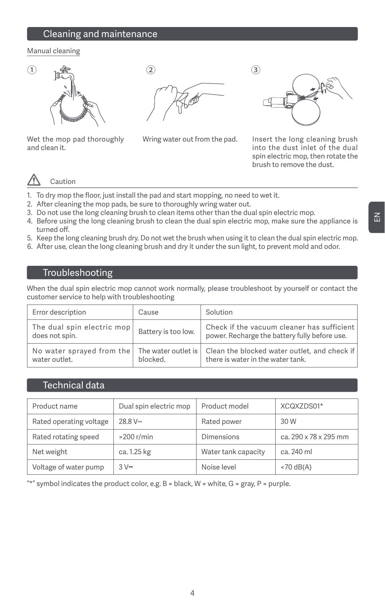## Cleaning and maintenance

### Manual cleaning



Wet the mop pad thoroughly and clean it.



Wring water out from the pad. Insert the long cleaning brush into the dust inlet of the dual spin electric mop, then rotate the brush to remove the dust.

## Caution

- 1. To dry mop the floor, just install the pad and start mopping, no need to wet it.
- 2. After cleaning the mop pads, be sure to thoroughly wring water out.
- 3. Do not use the long cleaning brush to clean items other than the dual spin electric mop.
- 4. Before using the long cleaning brush to clean the dual spin electric mop, make sure the appliance is turned off.
- 5. Keep the long cleaning brush dry. Do not wet the brush when using it to clean the dual spin electric mop.
- 6. After use, clean the long cleaning brush and dry it under the sun light, to prevent mold and odor.

### Troubleshooting

When the dual spin electric mop cannot work normally, please troubleshoot by yourself or contact the customer service to help with troubleshooting

| Error description                            | Cause                           | Solution                                                                                    |
|----------------------------------------------|---------------------------------|---------------------------------------------------------------------------------------------|
| The dual spin electric mop<br>does not spin. | Battery is too low.             | Check if the vacuum cleaner has sufficient<br>power. Recharge the battery fully before use. |
| No water sprayed from the<br>water outlet.   | The water outlet is<br>blocked. | Clean the blocked water outlet, and check if<br>there is water in the water tank.           |

### Technical data

| Product name                          | Dual spin electric mop |                     | XCQXZDS01*            |
|---------------------------------------|------------------------|---------------------|-----------------------|
| Rated operating voltage<br>$28.8 V =$ |                        | Rated power         | 30 W                  |
| Rated rotating speed                  | $>200$ r/min           | Dimensions          | ca. 290 x 78 x 295 mm |
| Net weight                            | ca. 1.25 kg            | Water tank capacity | ca. 240 ml            |
| Voltage of water pump                 | $3V =$                 | Noise level         | $<$ 70 dB(A)          |

"\*" symbol indicates the product color, e.g.  $B = black$ ,  $W = white$ ,  $G = gray$ ,  $P = purple$ .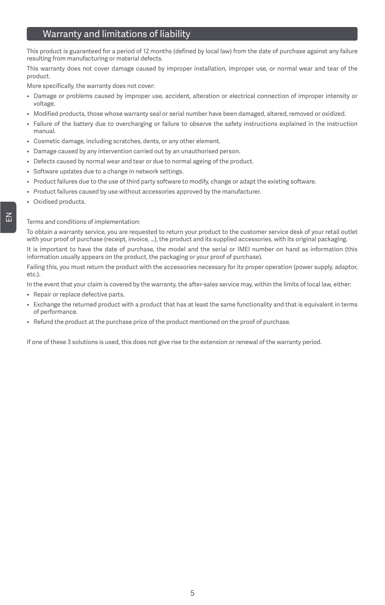## Warranty and limitations of liability

This product is guaranteed for a period of 12 months (defined by local law) from the date of purchase against any failure resulting from manufacturing or material defects.

This warranty does not cover damage caused by improper installation, improper use, or normal wear and tear of the product.

More specifically, the warranty does not cover:

- Damage or problems caused by improper use, accident, alteration or electrical connection of improper intensity or voltage.
- Modified products, those whose warranty seal or serial number have been damaged, altered, removed or oxidized.
- Failure of the battery due to overcharging or failure to observe the safety instructions explained in the instruction manual.
- Cosmetic damage, including scratches, dents, or any other element.
- Damage caused by any intervention carried out by an unauthorised person.
- Defects caused by normal wear and tear or due to normal ageing of the product.
- Software updates due to a change in network settings.
- Product failures due to the use of third party software to modify, change or adapt the existing software.
- Product failures caused by use without accessories approved by the manufacturer.
- Oxidised products.

#### Terms and conditions of implementation:

To obtain a warranty service, you are requested to return your product to the customer service desk of your retail outlet with your proof of purchase (receipt, invoice, ...), the product and its supplied accessories, with its original packaging.

It is important to have the date of purchase, the model and the serial or IMEI number on hand as information (this information usually appears on the product, the packaging or your proof of purchase).

Failing this, you must return the product with the accessories necessary for its proper operation (power supply, adaptor, etc.).

In the event that your claim is covered by the warranty, the after-sales service may, within the limits of local law, either:

- Repair or replace defective parts.
- Exchange the returned product with a product that has at least the same functionality and that is equivalent in terms of performance.
- Refund the product at the purchase price of the product mentioned on the proof of purchase.

If one of these 3 solutions is used, this does not give rise to the extension or renewal of the warranty period.